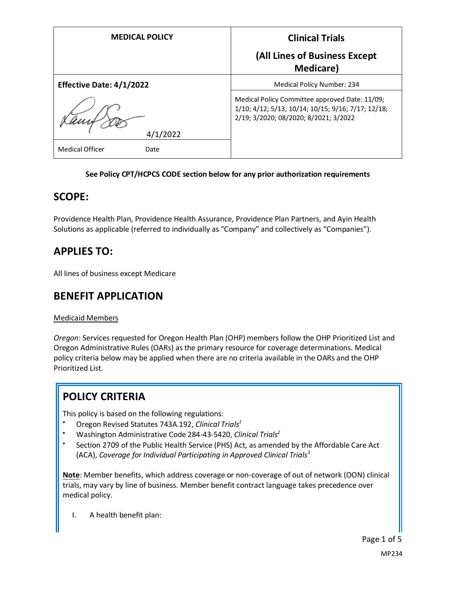| <b>MEDICAL POLICY</b>           | <b>Clinical Trials</b>                                                                                                                        |
|---------------------------------|-----------------------------------------------------------------------------------------------------------------------------------------------|
|                                 | (All Lines of Business Except<br><b>Medicare</b> )                                                                                            |
| <b>Effective Date: 4/1/2022</b> | <b>Medical Policy Number: 234</b>                                                                                                             |
| 4/1/2022                        | Medical Policy Committee approved Date: 11/09;<br>1/10; 4/12; 5/13; 10/14; 10/15; 9/16; 7/17; 12/18;<br>2/19; 3/2020; 08/2020; 8/2021; 3/2022 |
| <b>Medical Officer</b><br>Date  |                                                                                                                                               |

#### **See Policy CPT/HCPCS CODE section below for any prior authorization requirements**

### **SCOPE:**

Providence Health Plan, Providence Health Assurance, Providence Plan Partners, and Ayin Health Solutions as applicable (referred to individually as "Company" and collectively as "Companies").

## **APPLIES TO:**

All lines of business except Medicare

### **BENEFIT APPLICATION**

#### Medicaid Members

*Oregon*: Services requested for Oregon Health Plan (OHP) members follow the OHP Prioritized List and Oregon Administrative Rules (OARs) as the primary resource for coverage determinations. Medical policy criteria below may be applied when there are no criteria available in the OARs and the OHP Prioritized List.

## **POLICY CRITERIA**

This policy is based on the following regulations:

- Oregon Revised Statutes 743A.192, *Clinical Trials<sup>1</sup>*
- Washington Administrative Code 284-43-5420, *Clinical Trials<sup>2</sup>*
- Section 2709 of the Public Health Service (PHS) Act, as amended by the Affordable Care Act (ACA), *Coverage for Individual Participating in Approved Clinical Trials<sup>3</sup>*

**Note**: Member benefits, which address coverage or non-coverage of out of network (OON) clinical trials, may vary by line of business. Member benefit contract language takes precedence over medical policy.

I. A health benefit plan: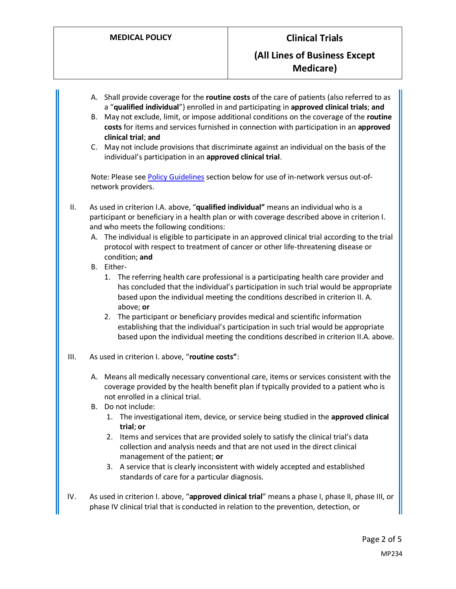- A. Shall provide coverage for the **routine costs** of the care of patients (also referred to as a "**qualified individual**") enrolled in and participating in **approved clinical trials**; **and**
- B. May not exclude, limit, or impose additional conditions on the coverage of the **routine costs** for items and services furnished in connection with participation in an **approved clinical trial**; **and**
- C. May not include provisions that discriminate against an individual on the basis of the individual's participation in an **approved clinical trial**.

Note: Please se[e Policy Guidelines](#page-3-0) section below for use of in-network versus out-ofnetwork providers.

- II. As used in criterion I.A. above, "**qualified individual"** means an individual who is a participant or beneficiary in a health plan or with coverage described above in criterion I. and who meets the following conditions:
	- A. The individual is eligible to participate in an approved clinical trial according to the trial protocol with respect to treatment of cancer or other life-threatening disease or condition; **and**
	- B. Either-
		- 1. The referring health care professional is a participating health care provider and has concluded that the individual's participation in such trial would be appropriate based upon the individual meeting the conditions described in criterion II. A. above; **or**
		- 2. The participant or beneficiary provides medical and scientific information establishing that the individual's participation in such trial would be appropriate based upon the individual meeting the conditions described in criterion II.A. above.
- III. As used in criterion I. above, "**routine costs"**:
	- A. Means all medically necessary conventional care, items or services consistent with the coverage provided by the health benefit plan if typically provided to a patient who is not enrolled in a clinical trial.
	- B. Do not include:
		- 1. The investigational item, device, or service being studied in the **approved clinical trial**; **or**
		- 2. Items and services that are provided solely to satisfy the clinical trial's data collection and analysis needs and that are not used in the direct clinical management of the patient; **or**
		- 3. A service that is clearly inconsistent with widely accepted and established standards of care for a particular diagnosis.
- IV. As used in criterion I. above, "**approved clinical trial**" means a phase I, phase II, phase III, or phase IV clinical trial that is conducted in relation to the prevention, detection, or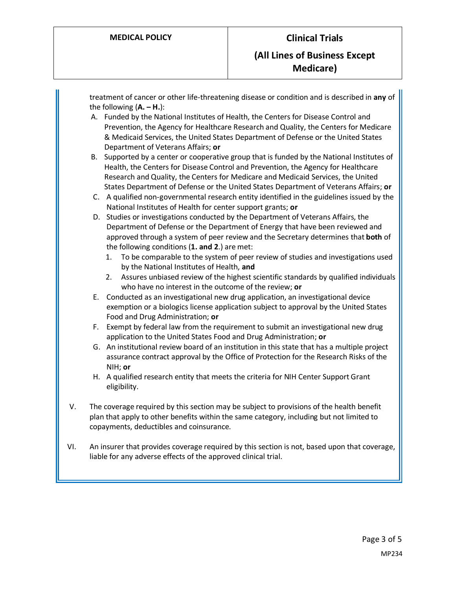treatment of cancer or other life-threatening disease or condition and is described in **any** of the following  $(A - H)$ : A. Funded by the National Institutes of Health, the Centers for Disease Control and Prevention, the Agency for Healthcare Research and Quality, the Centers for Medicare & Medicaid Services, the United States Department of Defense or the United States Department of Veterans Affairs; **or** B. Supported by a center or cooperative group that is funded by the National Institutes of Health, the Centers for Disease Control and Prevention, the Agency for Healthcare Research and Quality, the Centers for Medicare and Medicaid Services, the United States Department of Defense or the United States Department of Veterans Affairs; **or** C. A qualified non-governmental research entity identified in the guidelines issued by the National Institutes of Health for center support grants; **or** D. Studies or investigations conducted by the Department of Veterans Affairs, the Department of Defense or the Department of Energy that have been reviewed and approved through a system of peer review and the Secretary determines that **both** of the following conditions (**1. and 2**.) are met: 1. To be comparable to the system of peer review of studies and investigations used by the National Institutes of Health, **and** 2. Assures unbiased review of the highest scientific standards by qualified individuals who have no interest in the outcome of the review; **or** E. Conducted as an investigational new drug application, an investigational device exemption or a biologics license application subject to approval by the United States Food and Drug Administration; **or** F. Exempt by federal law from the requirement to submit an investigational new drug application to the United States Food and Drug Administration; **or** G. An institutional review board of an institution in this state that has a multiple project assurance contract approval by the Office of Protection for the Research Risks of the NIH; **or** H. A qualified research entity that meets the criteria for NIH Center Support Grant eligibility. V. The coverage required by this section may be subject to provisions of the health benefit plan that apply to other benefits within the same category, including but not limited to copayments, deductibles and coinsurance. VI. An insurer that provides coverage required by this section is not, based upon that coverage, liable for any adverse effects of the approved clinical trial.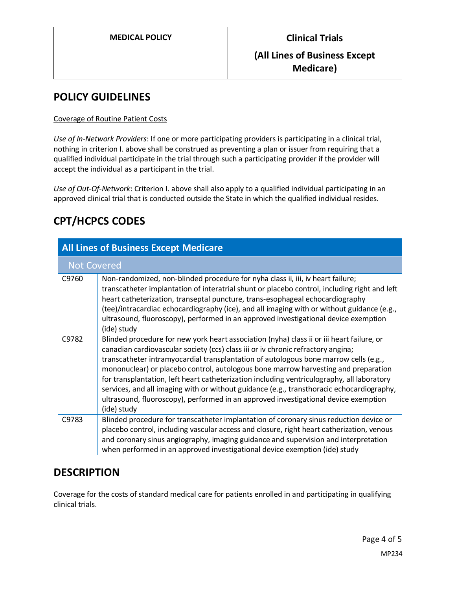## <span id="page-3-0"></span>**POLICY GUIDELINES**

#### Coverage of Routine Patient Costs

*Use of In-Network Providers*: If one or more participating providers is participating in a clinical trial, nothing in criterion I. above shall be construed as preventing a plan or issuer from requiring that a qualified individual participate in the trial through such a participating provider if the provider will accept the individual as a participant in the trial.

*Use of Out-Of-Network*: Criterion I. above shall also apply to a qualified individual participating in an approved clinical trial that is conducted outside the State in which the qualified individual resides.

# **CPT/HCPCS CODES**

| <b>All Lines of Business Except Medicare</b> |                                                                                                                                                                                                                                                                                                                                                                                                                                                                                                                                                                                                                                                              |
|----------------------------------------------|--------------------------------------------------------------------------------------------------------------------------------------------------------------------------------------------------------------------------------------------------------------------------------------------------------------------------------------------------------------------------------------------------------------------------------------------------------------------------------------------------------------------------------------------------------------------------------------------------------------------------------------------------------------|
| <b>Not Covered</b>                           |                                                                                                                                                                                                                                                                                                                                                                                                                                                                                                                                                                                                                                                              |
| C9760                                        | Non-randomized, non-blinded procedure for nyha class ii, iii, iv heart failure;<br>transcatheter implantation of interatrial shunt or placebo control, including right and left<br>heart catheterization, transeptal puncture, trans-esophageal echocardiography<br>(tee)/intracardiac echocardiography (ice), and all imaging with or without guidance (e.g.,<br>ultrasound, fluoroscopy), performed in an approved investigational device exemption<br>(ide) study                                                                                                                                                                                         |
| C9782                                        | Blinded procedure for new york heart association (nyha) class ii or iii heart failure, or<br>canadian cardiovascular society (ccs) class iii or iv chronic refractory angina;<br>transcatheter intramyocardial transplantation of autologous bone marrow cells (e.g.,<br>mononuclear) or placebo control, autologous bone marrow harvesting and preparation<br>for transplantation, left heart catheterization including ventriculography, all laboratory<br>services, and all imaging with or without guidance (e.g., transthoracic echocardiography,<br>ultrasound, fluoroscopy), performed in an approved investigational device exemption<br>(ide) study |
| C9783                                        | Blinded procedure for transcatheter implantation of coronary sinus reduction device or<br>placebo control, including vascular access and closure, right heart catherization, venous<br>and coronary sinus angiography, imaging guidance and supervision and interpretation<br>when performed in an approved investigational device exemption (ide) study                                                                                                                                                                                                                                                                                                     |

### **DESCRIPTION**

Coverage for the costs of standard medical care for patients enrolled in and participating in qualifying clinical trials.